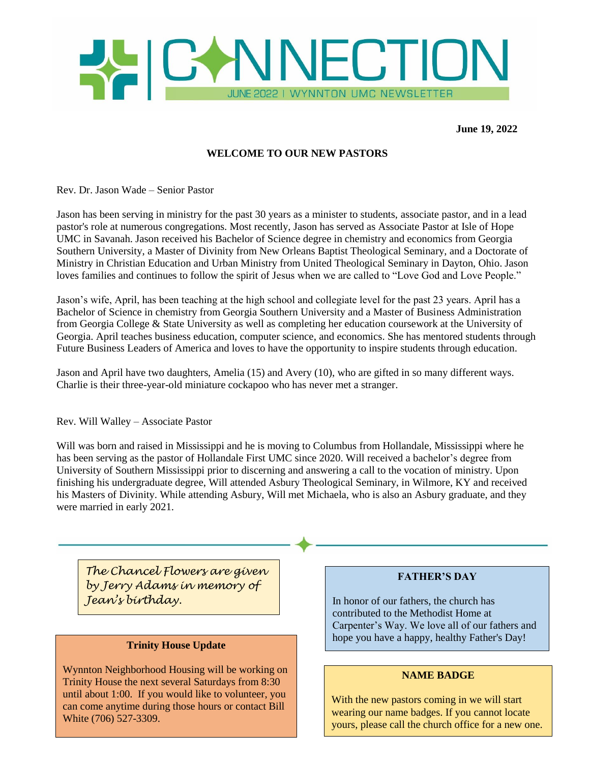

 **June 19, 2022**

# **WELCOME TO OUR NEW PASTORS**

Rev. Dr. Jason Wade – Senior Pastor

Jason has been serving in ministry for the past 30 years as a minister to students, associate pastor, and in a lead pastor's role at numerous congregations. Most recently, Jason has served as Associate Pastor at Isle of Hope UMC in Savanah. Jason received his Bachelor of Science degree in chemistry and economics from Georgia Southern University, a Master of Divinity from New Orleans Baptist Theological Seminary, and a Doctorate of Ministry in Christian Education and Urban Ministry from United Theological Seminary in Dayton, Ohio. Jason loves families and continues to follow the spirit of Jesus when we are called to "Love God and Love People."

Jason's wife, April, has been teaching at the high school and collegiate level for the past 23 years. April has a Bachelor of Science in chemistry from Georgia Southern University and a Master of Business Administration from Georgia College & State University as well as completing her education coursework at the University of Georgia. April teaches business education, computer science, and economics. She has mentored students through Future Business Leaders of America and loves to have the opportunity to inspire students through education.

Jason and April have two daughters, Amelia (15) and Avery (10), who are gifted in so many different ways. Charlie is their three-year-old miniature cockapoo who has never met a stranger.

Rev. Will Walley – Associate Pastor

Will was born and raised in Mississippi and he is moving to Columbus from Hollandale, Mississippi where he has been serving as the pastor of Hollandale First UMC since 2020. Will received a bachelor's degree from University of Southern Mississippi prior to discerning and answering a call to the vocation of ministry. Upon finishing his undergraduate degree, Will attended Asbury Theological Seminary, in Wilmore, KY and received his Masters of Divinity. While attending Asbury, Will met Michaela, who is also an Asbury graduate, and they were married in early 2021.

*The Chancel Flowers are given by Jerry Adams in memory of Jean's birthday.*

### **Trinity House Update**

Wynnton Neighborhood Housing will be working on Trinity House the next several Saturdays from 8:30 until about 1:00. If you would like to volunteer, you can come anytime during those hours or contact Bill White (706) 527-3309.

### **FATHER'S DAY**

In honor of our fathers, the church has contributed to the Methodist Home at Carpenter's Way. We love all of our fathers and hope you have a happy, healthy Father's Day!

### **NAME BADGE**

With the new pastors coming in we will start wearing our name badges. If you cannot locate yours, please call the church office for a new one.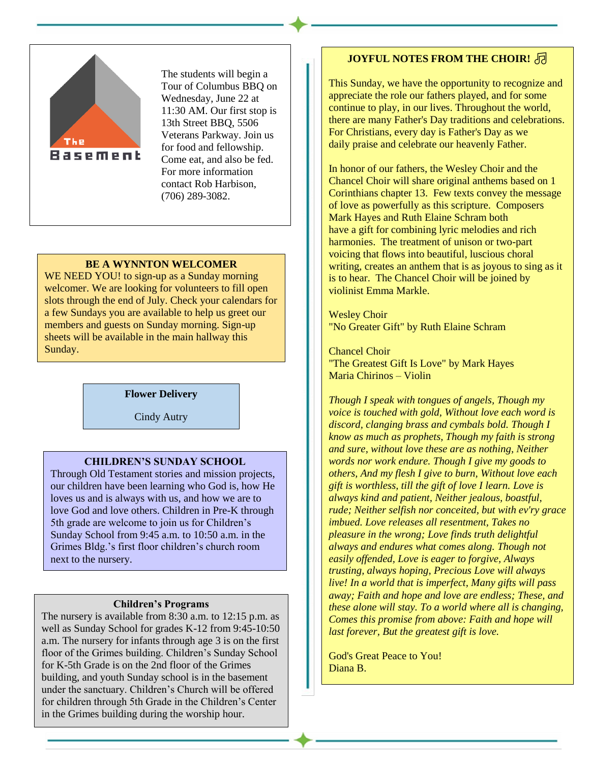

The students will begin a Tour of Columbus BBQ on Wednesday, June 22 at 11:30 AM. Our first stop is 13th Street BBQ, 5506 Veterans Parkway. Join us for food and fellowship. Come eat, and also be fed. For more information contact Rob Harbison, (706) 289-3082.

### **BE A WYNNTON WELCOMER**

WE NEED YOU! to sign-up as a Sunday morning welcomer. We are looking for volunteers to fill open slots through the end of July. Check your calendars for a few Sundays you are available to help us greet our members and guests on Sunday morning. Sign-up sheets will be available in the main hallway this Sunday.

#### **Flower Delivery**

Cindy Autry

### **CHILDREN'S SUNDAY SCHOOL**

Through Old Testament stories and mission projects, our children have been learning who God is, how He loves us and is always with us, and how we are to love God and love others. Children in Pre-K through 5th grade are welcome to join us for Children's Sunday School from 9:45 a.m. to 10:50 a.m. in the Grimes Bldg.'s first floor children's church room next to the nursery.

#### **Children's Programs**

The nursery is available from 8:30 a.m. to 12:15 p.m. as well as Sunday School for grades K-12 from 9:45-10:50 a.m. The nursery for infants through age 3 is on the first floor of the Grimes building. Children's Sunday School for K-5th Grade is on the 2nd floor of the Grimes building, and youth Sunday school is in the basement under the sanctuary. Children's Church will be offered for children through 5th Grade in the Children's Center in the Grimes building during the worship hour.

# **JOYFUL NOTES FROM THE CHOIR!** 同

This Sunday, we have the opportunity to recognize and appreciate the role our fathers played, and for some continue to play, in our lives. Throughout the world, there are many Father's Day traditions and celebrations. For Christians, every day is Father's Day as we daily praise and celebrate our heavenly Father.

In honor of our fathers, the Wesley Choir and the Chancel Choir will share original anthems based on 1 Corinthians chapter 13. Few texts convey the message of love as powerfully as this scripture. Composers Mark Hayes and Ruth Elaine Schram both have a gift for combining lyric melodies and rich harmonies. The treatment of unison or two-part voicing that flows into beautiful, luscious choral writing, creates an anthem that is as joyous to sing as it is to hear. The Chancel Choir will be joined by violinist Emma Markle.

Wesley Choir "No Greater Gift" by Ruth Elaine Schram

Chancel Choir "The Greatest Gift Is Love" by Mark Hayes Maria Chirinos – Violin

*Though I speak with tongues of angels, Though my voice is touched with gold, Without love each word is discord, clanging brass and cymbals bold. Though I know as much as prophets, Though my faith is strong and sure, without love these are as nothing, Neither words nor work endure. Though I give my goods to others, And my flesh I give to burn, Without love each gift is worthless, till the gift of love I learn. Love is always kind and patient, Neither jealous, boastful, rude; Neither selfish nor conceited, but with ev'ry grace imbued. Love releases all resentment, Takes no pleasure in the wrong; Love finds truth delightful always and endures what comes along. Though not easily offended, Love is eager to forgive, Always trusting, always hoping, Precious Love will always live! In a world that is imperfect, Many gifts will pass away; Faith and hope and love are endless; These, and these alone will stay. To a world where all is changing, Comes this promise from above: Faith and hope will last forever, But the greatest gift is love.*

God's Great Peace to You! Diana B.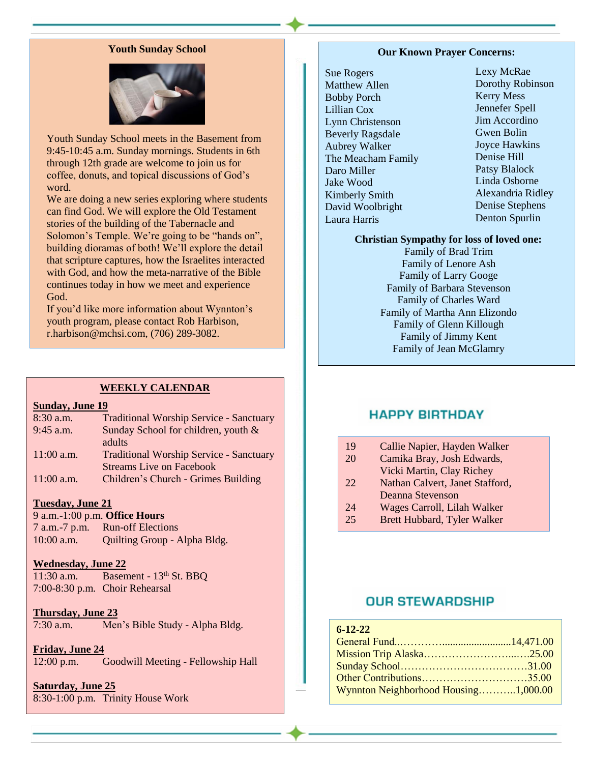### **Youth Sunday School**



Youth Sunday School meets in the Basement from 9:45-10:45 a.m. Sunday mornings. Students in 6th through 12th grade are welcome to join us for coffee, donuts, and topical discussions of God's word.

We are doing a new series exploring where students can find God. We will explore the Old Testament stories of the building of the Tabernacle and Solomon's Temple. We're going to be "hands on", building dioramas of both! We'll explore the detail that scripture captures, how the Israelites interacted with God, and how the meta-narrative of the Bible continues today in how we meet and experience God.

If you'd like more information about Wynnton's youth program, please contact Rob Harbison, r.harbison@mchsi.com, (706) 289-3082.

#### **WEEKLY CALENDAR**

#### **Sunday, June 19**

- 8:30 a.m. Traditional Worship Service Sanctuary 9:45 a.m. Sunday School for children, youth & adults 11:00 a.m. Traditional Worship Service - Sanctuary
- Streams Live on Facebook 11:00 a.m. Children's Church - Grimes Building
- 

# **Tuesday, June 21**

9 a.m.-1:00 p.m. **Office Hours** 7 a.m.-7 p.m. Run-off Elections 10:00 a.m. Quilting Group - Alpha Bldg.

#### **Wednesday, June 22**

11:30 a.m. Basement -  $13<sup>th</sup>$  St. BBQ 7:00-8:30 p.m. Choir Rehearsal

### **Thursday, June 23**

7:30 a.m. Men's Bible Study - Alpha Bldg.

**Friday, June 24**

12:00 p.m. Goodwill Meeting - Fellowship Hall

**Saturday, June 25** 8:30-1:00 p.m. Trinity House Work

#### **Our Known Prayer Concerns:**

Sue Rogers Matthew Allen Bobby Porch Lillian Cox Lynn Christenson Beverly Ragsdale Aubrey Walker The Meacham Family Daro Miller Jake Wood Kimberly Smith David Woolbright Laura Harris

Lexy McRae Dorothy Robinson Kerry Mess Jennefer Spell Jim Accordino Gwen Bolin Joyce Hawkins Denise Hill Patsy Blalock Linda Osborne Alexandria Ridley Denise Stephens Denton Spurlin

### **Christian Sympathy for loss of loved one:**

Family of Brad Trim Family of Lenore Ash Family of Larry Googe Family of Barbara Stevenson Family of Charles Ward Family of Martha Ann Elizondo Family of Glenn Killough Family of Jimmy Kent Family of Jean McGlamry

# **HAPPY BIRTHDAY**

- 19 Callie Napier, Hayden Walker
- 20 Camika Bray, Josh Edwards, Vicki Martin, Clay Richey
- 22 Nathan Calvert, Janet Stafford,
	- Deanna Stevenson
- 24 Wages Carroll, Lilah Walker
- 25 Brett Hubbard, Tyler Walker

# **OUR STEWARDSHIP**

### **6-12-22**

| Other Contributions35.00             |  |
|--------------------------------------|--|
| Wynnton Neighborhood Housing1,000.00 |  |